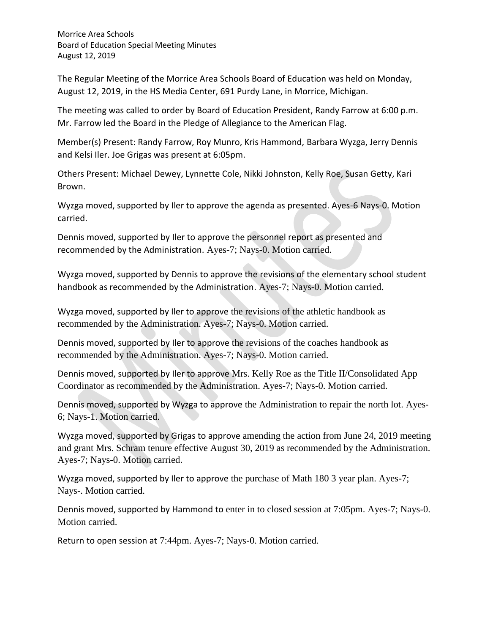Morrice Area Schools Board of Education Special Meeting Minutes August 12, 2019

The Regular Meeting of the Morrice Area Schools Board of Education was held on Monday, August 12, 2019, in the HS Media Center, 691 Purdy Lane, in Morrice, Michigan.

The meeting was called to order by Board of Education President, Randy Farrow at 6:00 p.m. Mr. Farrow led the Board in the Pledge of Allegiance to the American Flag.

Member(s) Present: Randy Farrow, Roy Munro, Kris Hammond, Barbara Wyzga, Jerry Dennis and Kelsi Iler. Joe Grigas was present at 6:05pm.

Others Present: Michael Dewey, Lynnette Cole, Nikki Johnston, Kelly Roe, Susan Getty, Kari Brown.

Wyzga moved, supported by Iler to approve the agenda as presented. Ayes-6 Nays-0. Motion carried.

Dennis moved, supported by Iler to approve the personnel report as presented and recommended by the Administration. Ayes-7; Nays-0. Motion carried.

Wyzga moved, supported by Dennis to approve the revisions of the elementary school student handbook as recommended by the Administration. Ayes-7; Nays-0. Motion carried.

Wyzga moved, supported by Iler to approve the revisions of the athletic handbook as recommended by the Administration. Ayes-7; Nays-0. Motion carried.

Dennis moved, supported by Iler to approve the revisions of the coaches handbook as recommended by the Administration. Ayes-7; Nays-0. Motion carried.

Dennis moved, supported by Iler to approve Mrs. Kelly Roe as the Title II/Consolidated App Coordinator as recommended by the Administration. Ayes-7; Nays-0. Motion carried.

Dennis moved, supported by Wyzga to approve the Administration to repair the north lot. Ayes-6; Nays-1. Motion carried.

Wyzga moved, supported by Grigas to approve amending the action from June 24, 2019 meeting and grant Mrs. Schram tenure effective August 30, 2019 as recommended by the Administration. Ayes-7; Nays-0. Motion carried.

Wyzga moved, supported by Iler to approve the purchase of Math 180 3 year plan. Ayes-7; Nays-. Motion carried.

Dennis moved, supported by Hammond to enter in to closed session at 7:05pm. Ayes-7; Nays-0. Motion carried.

Return to open session at 7:44pm. Ayes-7; Nays-0. Motion carried.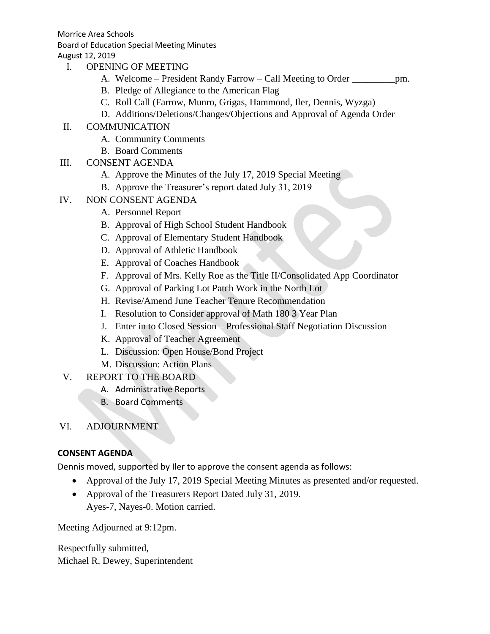Morrice Area Schools Board of Education Special Meeting Minutes August 12, 2019

- I. OPENING OF MEETING
	- A. Welcome President Randy Farrow Call Meeting to Order \_\_\_\_\_\_\_\_\_pm.
	- B. Pledge of Allegiance to the American Flag
	- C. Roll Call (Farrow, Munro, Grigas, Hammond, Iler, Dennis, Wyzga)
	- D. Additions/Deletions/Changes/Objections and Approval of Agenda Order
- II. COMMUNICATION
	- A. Community Comments
	- B. Board Comments
- III. CONSENT AGENDA
	- A. Approve the Minutes of the July 17, 2019 Special Meeting
	- B. Approve the Treasurer's report dated July 31, 2019
- IV. NON CONSENT AGENDA
	- A. Personnel Report
	- B. Approval of High School Student Handbook
	- C. Approval of Elementary Student Handbook
	- D. Approval of Athletic Handbook
	- E. Approval of Coaches Handbook
	- F. Approval of Mrs. Kelly Roe as the Title II/Consolidated App Coordinator
	- G. Approval of Parking Lot Patch Work in the North Lot
	- H. Revise/Amend June Teacher Tenure Recommendation
	- I. Resolution to Consider approval of Math 180 3 Year Plan
	- J. Enter in to Closed Session Professional Staff Negotiation Discussion
	- K. Approval of Teacher Agreement
	- L. Discussion: Open House/Bond Project
	- M. Discussion: Action Plans
- V. REPORT TO THE BOARD
	- A. Administrative Reports
	- B. Board Comments

## VI. ADJOURNMENT

## **CONSENT AGENDA**

Dennis moved, supported by Iler to approve the consent agenda as follows:

- Approval of the July 17, 2019 Special Meeting Minutes as presented and/or requested.
- Approval of the Treasurers Report Dated July 31, 2019. Ayes-7, Nayes-0. Motion carried.

Meeting Adjourned at 9:12pm.

Respectfully submitted, Michael R. Dewey, Superintendent